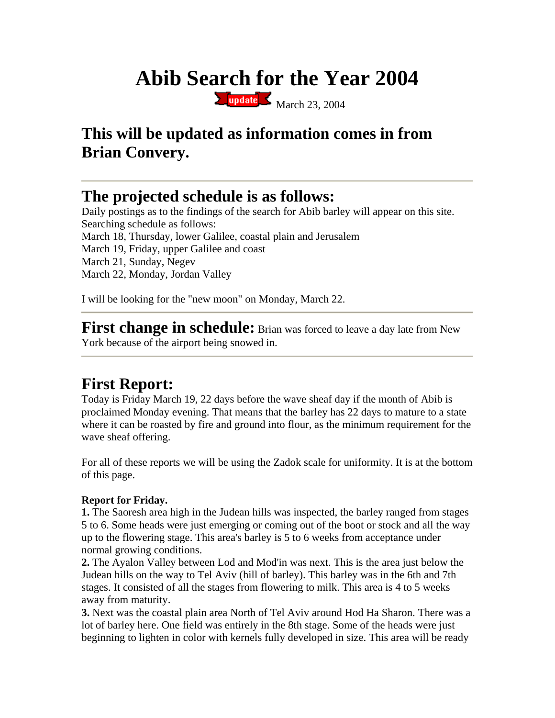# **Abib Search for the Year 2004**

update March 23, 2004

### **This will be updated as information comes in from Brian Convery.**

### **The projected schedule is as follows:**

Daily postings as to the findings of the search for Abib barley will appear on this site. Searching schedule as follows: March 18, Thursday, lower Galilee, coastal plain and Jerusalem March 19, Friday, upper Galilee and coast March 21, Sunday, Negev March 22, Monday, Jordan Valley

I will be looking for the "new moon" on Monday, March 22.

**First change in schedule:** Brian was forced to leave a day late from New York because of the airport being snowed in.

# **First Report:**

Today is Friday March 19, 22 days before the wave sheaf day if the month of Abib is proclaimed Monday evening. That means that the barley has 22 days to mature to a state where it can be roasted by fire and ground into flour, as the minimum requirement for the wave sheaf offering.

For all of these reports we will be using the Zadok scale for uniformity. It is at the bottom of this page.

#### **Report for Friday.**

**1.** The Saoresh area high in the Judean hills was inspected, the barley ranged from stages 5 to 6. Some heads were just emerging or coming out of the boot or stock and all the way up to the flowering stage. This area's barley is 5 to 6 weeks from acceptance under normal growing conditions.

**2.** The Ayalon Valley between Lod and Mod'in was next. This is the area just below the Judean hills on the way to Tel Aviv (hill of barley). This barley was in the 6th and 7th stages. It consisted of all the stages from flowering to milk. This area is 4 to 5 weeks away from maturity.

**3.** Next was the coastal plain area North of Tel Aviv around Hod Ha Sharon. There was a lot of barley here. One field was entirely in the 8th stage. Some of the heads were just beginning to lighten in color with kernels fully developed in size. This area will be ready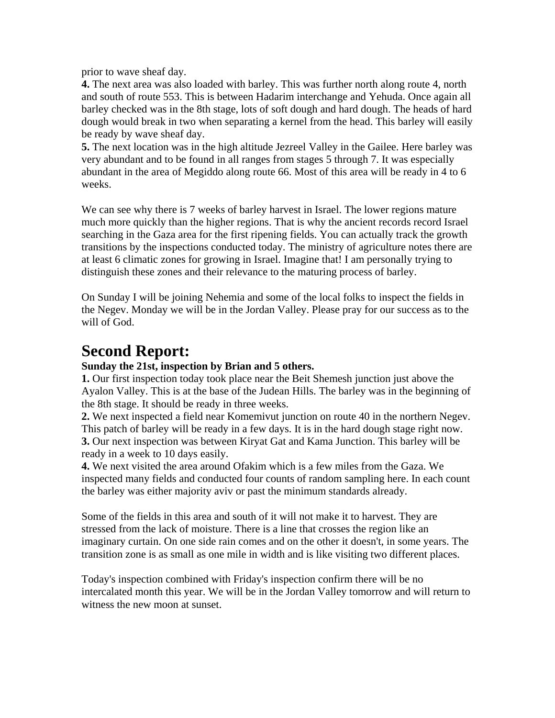prior to wave sheaf day.

**4.** The next area was also loaded with barley. This was further north along route 4, north and south of route 553. This is between Hadarim interchange and Yehuda. Once again all barley checked was in the 8th stage, lots of soft dough and hard dough. The heads of hard dough would break in two when separating a kernel from the head. This barley will easily be ready by wave sheaf day.

**5.** The next location was in the high altitude Jezreel Valley in the Gailee. Here barley was very abundant and to be found in all ranges from stages 5 through 7. It was especially abundant in the area of Megiddo along route 66. Most of this area will be ready in 4 to 6 weeks.

We can see why there is 7 weeks of barley harvest in Israel. The lower regions mature much more quickly than the higher regions. That is why the ancient records record Israel searching in the Gaza area for the first ripening fields. You can actually track the growth transitions by the inspections conducted today. The ministry of agriculture notes there are at least 6 climatic zones for growing in Israel. Imagine that! I am personally trying to distinguish these zones and their relevance to the maturing process of barley.

On Sunday I will be joining Nehemia and some of the local folks to inspect the fields in the Negev. Monday we will be in the Jordan Valley. Please pray for our success as to the will of God.

### **Second Report:**

#### **Sunday the 21st, inspection by Brian and 5 others.**

**1.** Our first inspection today took place near the Beit Shemesh junction just above the Ayalon Valley. This is at the base of the Judean Hills. The barley was in the beginning of the 8th stage. It should be ready in three weeks.

**2.** We next inspected a field near Komemivut junction on route 40 in the northern Negev. This patch of barley will be ready in a few days. It is in the hard dough stage right now. **3.** Our next inspection was between Kiryat Gat and Kama Junction. This barley will be ready in a week to 10 days easily.

**4.** We next visited the area around Ofakim which is a few miles from the Gaza. We inspected many fields and conducted four counts of random sampling here. In each count the barley was either majority aviv or past the minimum standards already.

Some of the fields in this area and south of it will not make it to harvest. They are stressed from the lack of moisture. There is a line that crosses the region like an imaginary curtain. On one side rain comes and on the other it doesn't, in some years. The transition zone is as small as one mile in width and is like visiting two different places.

Today's inspection combined with Friday's inspection confirm there will be no intercalated month this year. We will be in the Jordan Valley tomorrow and will return to witness the new moon at sunset.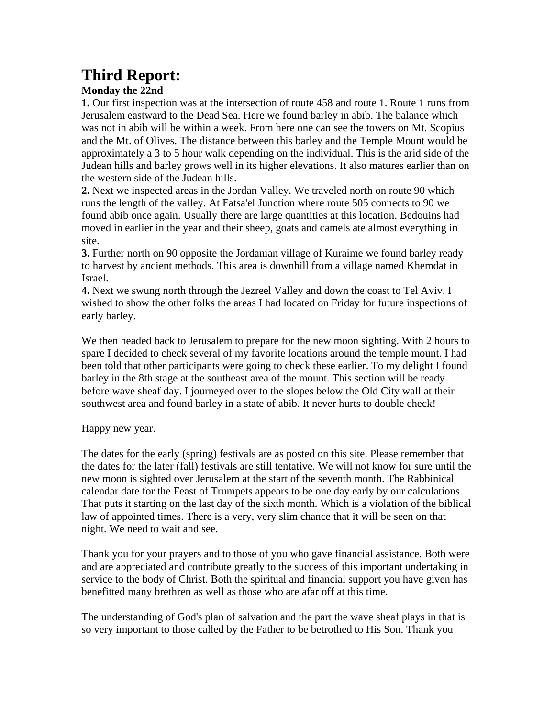# **Third Report:**

#### **Monday the 22nd**

**1.** Our first inspection was at the intersection of route 458 and route 1. Route 1 runs from Jerusalem eastward to the Dead Sea. Here we found barley in abib. The balance which was not in abib will be within a week. From here one can see the towers on Mt. Scopius and the Mt. of Olives. The distance between this barley and the Temple Mount would be approximately a 3 to 5 hour walk depending on the individual. This is the arid side of the Judean hills and barley grows well in its higher elevations. It also matures earlier than on the western side of the Judean hills.

**2.** Next we inspected areas in the Jordan Valley. We traveled north on route 90 which runs the length of the valley. At Fatsa'el Junction where route 505 connects to 90 we found abib once again. Usually there are large quantities at this location. Bedouins had moved in earlier in the year and their sheep, goats and camels ate almost everything in site.

**3.** Further north on 90 opposite the Jordanian village of Kuraime we found barley ready to harvest by ancient methods. This area is downhill from a village named Khemdat in Israel.

**4.** Next we swung north through the Jezreel Valley and down the coast to Tel Aviv. I wished to show the other folks the areas I had located on Friday for future inspections of early barley.

We then headed back to Jerusalem to prepare for the new moon sighting. With 2 hours to spare I decided to check several of my favorite locations around the temple mount. I had been told that other participants were going to check these earlier. To my delight I found barley in the 8th stage at the southeast area of the mount. This section will be ready before wave sheaf day. I journeyed over to the slopes below the Old City wall at their southwest area and found barley in a state of abib. It never hurts to double check!

#### Happy new year.

The dates for the early (spring) festivals are as posted on this site. Please remember that the dates for the later (fall) festivals are still tentative. We will not know for sure until the new moon is sighted over Jerusalem at the start of the seventh month. The Rabbinical calendar date for the Feast of Trumpets appears to be one day early by our calculations. That puts it starting on the last day of the sixth month. Which is a violation of the biblical law of appointed times. There is a very, very slim chance that it will be seen on that night. We need to wait and see.

Thank you for your prayers and to those of you who gave financial assistance. Both were and are appreciated and contribute greatly to the success of this important undertaking in service to the body of Christ. Both the spiritual and financial support you have given has benefitted many brethren as well as those who are afar off at this time.

The understanding of God's plan of salvation and the part the wave sheaf plays in that is so very important to those called by the Father to be betrothed to His Son. Thank you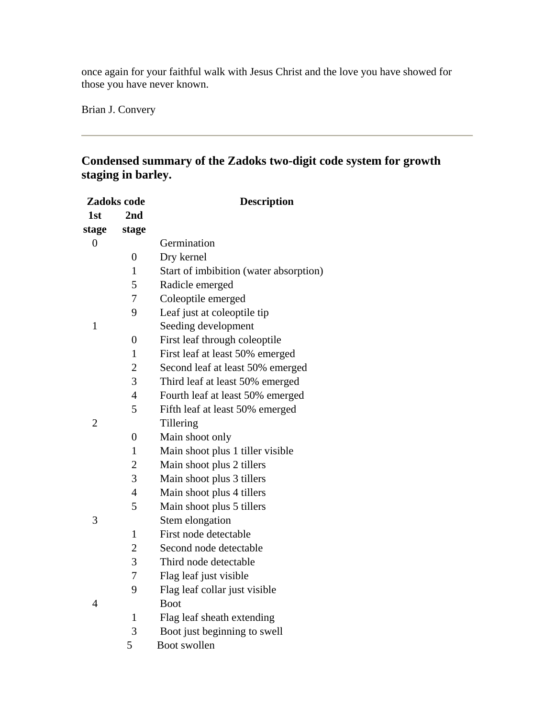once again for your faithful walk with Jesus Christ and the love you have showed for those you have never known.

Brian J. Convery

#### **Condensed summary of the Zadoks two-digit code system for growth staging in barley.**

| Zadoks code      |                | <b>Description</b>                     |
|------------------|----------------|----------------------------------------|
| 1st              | 2nd            |                                        |
| stage            | stage          |                                        |
| $\boldsymbol{0}$ |                | Germination                            |
|                  | $\overline{0}$ | Dry kernel                             |
|                  | $\mathbf{1}$   | Start of imbibition (water absorption) |
|                  | 5              | Radicle emerged                        |
|                  | 7              | Coleoptile emerged                     |
|                  | 9              | Leaf just at coleoptile tip            |
| $\mathbf{1}$     |                | Seeding development                    |
|                  | $\overline{0}$ | First leaf through coleoptile          |
|                  | $\mathbf{1}$   | First leaf at least 50% emerged        |
|                  | $\overline{2}$ | Second leaf at least 50% emerged       |
|                  | 3              | Third leaf at least 50% emerged        |
|                  | $\overline{4}$ | Fourth leaf at least 50% emerged       |
|                  | 5              | Fifth leaf at least 50% emerged        |
| 2                |                | Tillering                              |
|                  | $\overline{0}$ | Main shoot only                        |
|                  | $\mathbf{1}$   | Main shoot plus 1 tiller visible       |
|                  | $\overline{2}$ | Main shoot plus 2 tillers              |
|                  | 3              | Main shoot plus 3 tillers              |
|                  | $\overline{4}$ | Main shoot plus 4 tillers              |
|                  | 5              | Main shoot plus 5 tillers              |
| 3                |                | Stem elongation                        |
|                  | 1              | First node detectable                  |
|                  | $\overline{2}$ | Second node detectable                 |
|                  | 3              | Third node detectable                  |
|                  | 7              | Flag leaf just visible                 |
|                  | 9              | Flag leaf collar just visible          |
| $\overline{4}$   |                | <b>Boot</b>                            |
|                  | $\mathbf{1}$   | Flag leaf sheath extending             |
|                  | 3              | Boot just beginning to swell           |
|                  | 5              | Boot swollen                           |